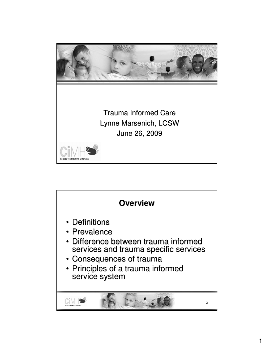

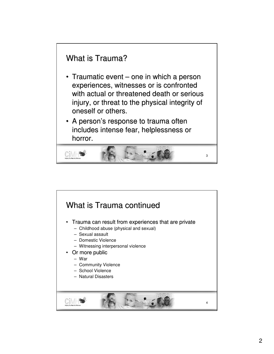

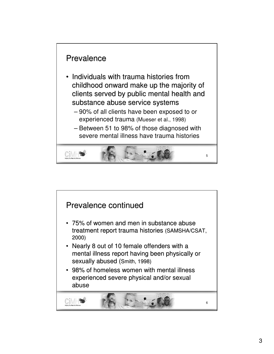

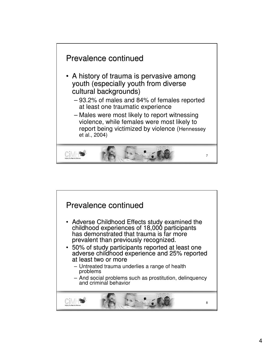

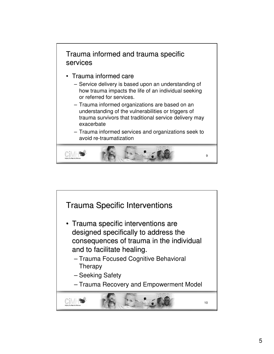

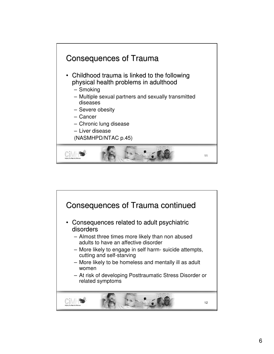

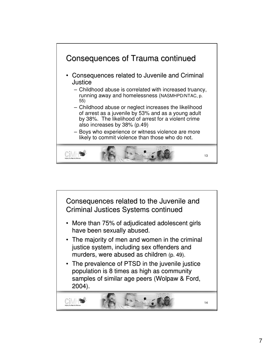

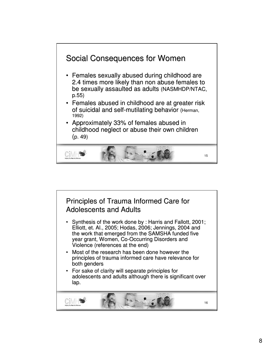

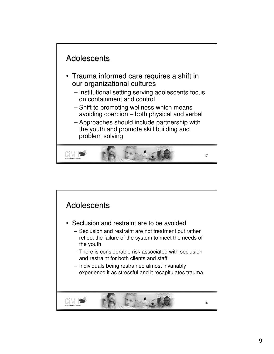

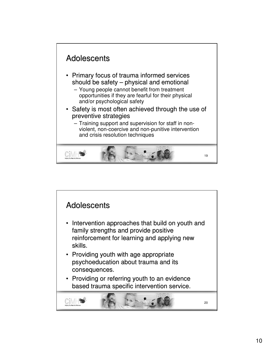

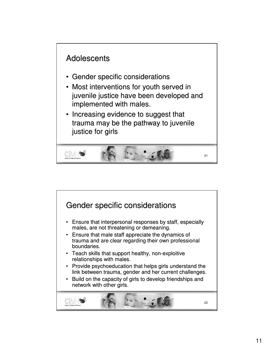

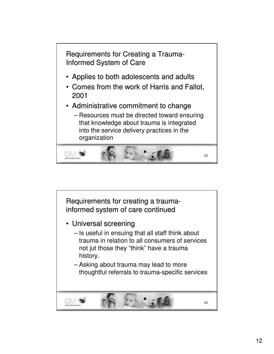

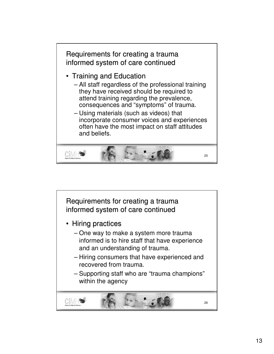

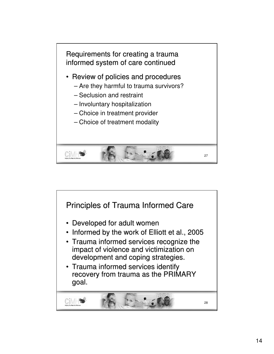

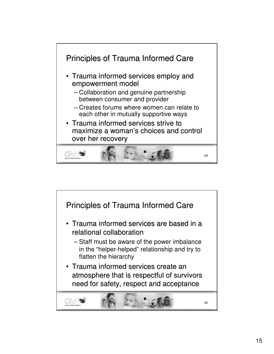

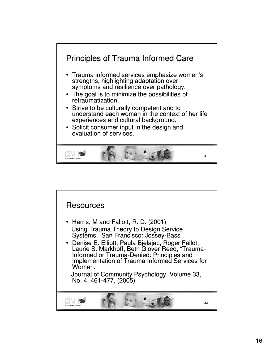

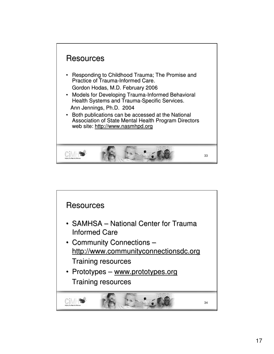